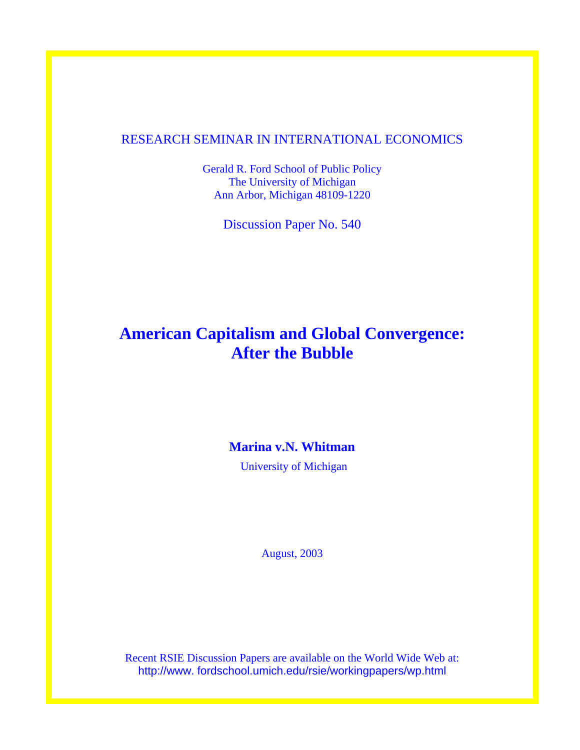# RESEARCH SEMINAR IN INTERNATIONAL ECONOMICS

Gerald R. Ford School of Public Policy The University of Michigan Ann Arbor, Michigan 48109-1220

Discussion Paper No. 540

# **American Capitalism and Global Convergence: After the Bubble**

# **Marina v.N. Whitman**

University of Michigan

August, 2003

Recent RSIE Discussion Papers are available on the World Wide Web at: http://www. fordschool.umich.edu/rsie/workingpapers/wp.html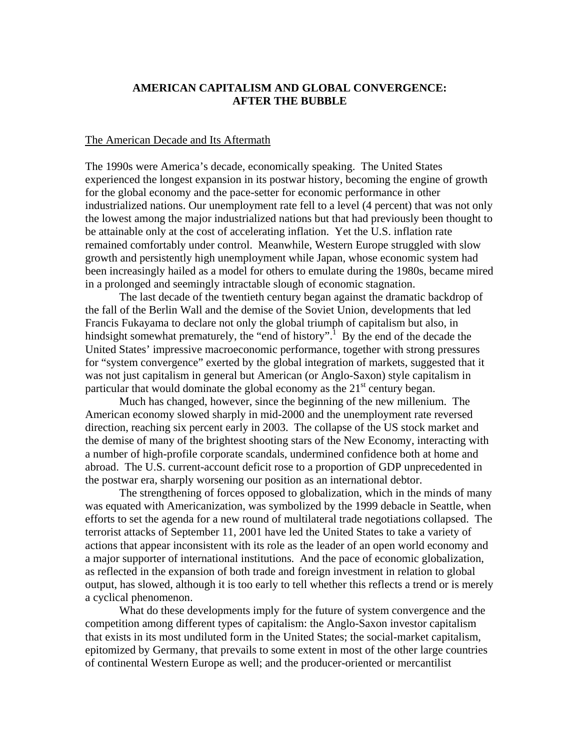# **AMERICAN CAPITALISM AND GLOBAL CONVERGENCE: AFTER THE BUBBLE**

#### The American Decade and Its Aftermath

The 1990s were America's decade, economically speaking. The United States experienced the longest expansion in its postwar history, becoming the engine of growth for the global economy and the pace-setter for economic performance in other industrialized nations. Our unemployment rate fell to a level (4 percent) that was not only the lowest among the major industrialized nations but that had previously been thought to be attainable only at the cost of accelerating inflation. Yet the U.S. inflation rate remained comfortably under control. Meanwhile, Western Europe struggled with slow growth and persistently high unemployment while Japan, whose economic system had been increasingly hailed as a model for others to emulate during the 1980s, became mired in a prolonged and seemingly intractable slough of economic stagnation.

 The last decade of the twentieth century began against the dramatic backdrop of the fall of the Berlin Wall and the demise of the Soviet Union, developments that led Francis Fukayama to declare not only the global triumph of capitalism but also, in hindsight somewhat prematurely, the "end of history".<sup>[1](#page-19-0)</sup> By the end of the decade the United States' impressive macroeconomic performance, together with strong pressures for "system convergence" exerted by the global integration of markets, suggested that it was not just capitalism in general but American (or Anglo-Saxon) style capitalism in particular that would dominate the global economy as the  $21<sup>st</sup>$  century began.

 Much has changed, however, since the beginning of the new millenium. The American economy slowed sharply in mid-2000 and the unemployment rate reversed direction, reaching six percent early in 2003. The collapse of the US stock market and the demise of many of the brightest shooting stars of the New Economy, interacting with a number of high-profile corporate scandals, undermined confidence both at home and abroad. The U.S. current-account deficit rose to a proportion of GDP unprecedented in the postwar era, sharply worsening our position as an international debtor.

The strengthening of forces opposed to globalization, which in the minds of many was equated with Americanization, was symbolized by the 1999 debacle in Seattle, when efforts to set the agenda for a new round of multilateral trade negotiations collapsed. The terrorist attacks of September 11, 2001 have led the United States to take a variety of actions that appear inconsistent with its role as the leader of an open world economy and a major supporter of international institutions. And the pace of economic globalization, as reflected in the expansion of both trade and foreign investment in relation to global output, has slowed, although it is too early to tell whether this reflects a trend or is merely a cyclical phenomenon.

 What do these developments imply for the future of system convergence and the competition among different types of capitalism: the Anglo-Saxon investor capitalism that exists in its most undiluted form in the United States; the social-market capitalism, epitomized by Germany, that prevails to some extent in most of the other large countries of continental Western Europe as well; and the producer-oriented or mercantilist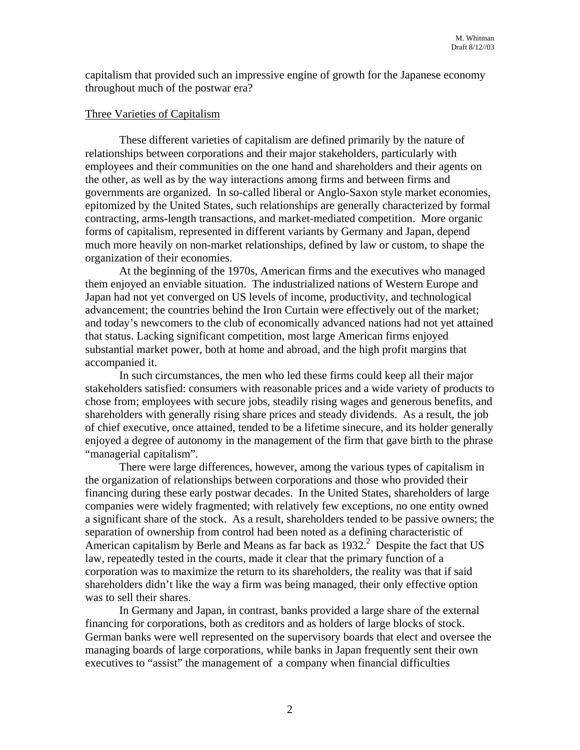capitalism that provided such an impressive engine of growth for the Japanese economy throughout much of the postwar era?

# Three Varieties of Capitalism

These different varieties of capitalism are defined primarily by the nature of relationships between corporations and their major stakeholders, particularly with employees and their communities on the one hand and shareholders and their agents on the other, as well as by the way interactions among firms and between firms and governments are organized. In so-called liberal or Anglo-Saxon style market economies, epitomized by the United States, such relationships are generally characterized by formal contracting, arms-length transactions, and market-mediated competition. More organic forms of capitalism, represented in different variants by Germany and Japan, depend much more heavily on non-market relationships, defined by law or custom, to shape the organization of their economies.

At the beginning of the 1970s, American firms and the executives who managed them enjoyed an enviable situation. The industrialized nations of Western Europe and Japan had not yet converged on US levels of income, productivity, and technological advancement; the countries behind the Iron Curtain were effectively out of the market; and today's newcomers to the club of economically advanced nations had not yet attained that status. Lacking significant competition, most large American firms enjoyed substantial market power, both at home and abroad, and the high profit margins that accompanied it.

In such circumstances, the men who led these firms could keep all their major stakeholders satisfied: consumers with reasonable prices and a wide variety of products to chose from; employees with secure jobs, steadily rising wages and generous benefits, and shareholders with generally rising share prices and steady dividends. As a result, the job of chief executive, once attained, tended to be a lifetime sinecure, and its holder generally enjoyed a degree of autonomy in the management of the firm that gave birth to the phrase "managerial capitalism".

There were large differences, however, among the various types of capitalism in the organization of relationships between corporations and those who provided their financing during these early postwar decades. In the United States, shareholders of large companies were widely fragmented; with relatively few exceptions, no one entity owned a significant share of the stock. As a result, shareholders tended to be passive owners; the separation of ownership from control had been noted as a defining characteristic of American capitalism by Berle and Means as far back as  $1932<sup>2</sup>$  $1932<sup>2</sup>$  $1932<sup>2</sup>$  Despite the fact that US law, repeatedly tested in the courts, made it clear that the primary function of a corporation was to maximize the return to its shareholders, the reality was that if said shareholders didn't like the way a firm was being managed, their only effective option was to sell their shares.

In Germany and Japan, in contrast, banks provided a large share of the external financing for corporations, both as creditors and as holders of large blocks of stock. German banks were well represented on the supervisory boards that elect and oversee the managing boards of large corporations, while banks in Japan frequently sent their own executives to "assist" the management of a company when financial difficulties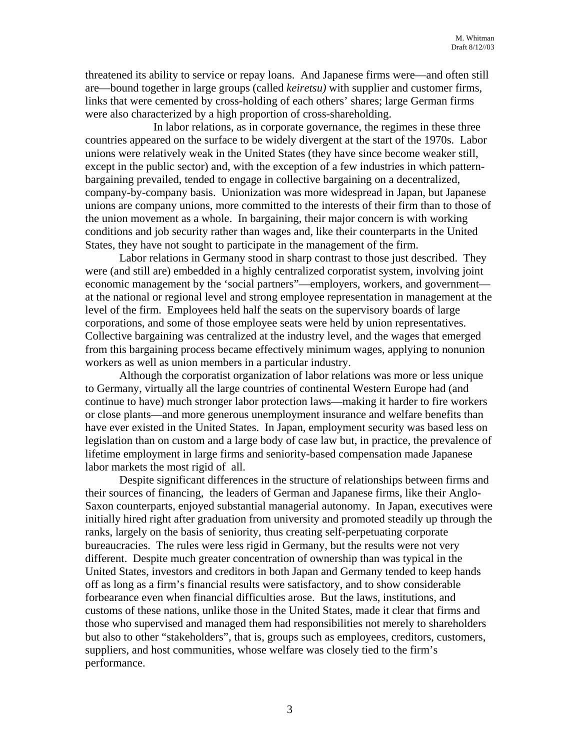threatened its ability to service or repay loans. And Japanese firms were—and often still are—bound together in large groups (called *keiretsu)* with supplier and customer firms, links that were cemented by cross-holding of each others' shares; large German firms were also characterized by a high proportion of cross-shareholding.

In labor relations, as in corporate governance, the regimes in these three countries appeared on the surface to be widely divergent at the start of the 1970s. Labor unions were relatively weak in the United States (they have since become weaker still, except in the public sector) and, with the exception of a few industries in which patternbargaining prevailed, tended to engage in collective bargaining on a decentralized, company-by-company basis. Unionization was more widespread in Japan, but Japanese unions are company unions, more committed to the interests of their firm than to those of the union movement as a whole. In bargaining, their major concern is with working conditions and job security rather than wages and, like their counterparts in the United States, they have not sought to participate in the management of the firm.

Labor relations in Germany stood in sharp contrast to those just described. They were (and still are) embedded in a highly centralized corporatist system, involving joint economic management by the 'social partners"—employers, workers, and government at the national or regional level and strong employee representation in management at the level of the firm. Employees held half the seats on the supervisory boards of large corporations, and some of those employee seats were held by union representatives. Collective bargaining was centralized at the industry level, and the wages that emerged from this bargaining process became effectively minimum wages, applying to nonunion workers as well as union members in a particular industry.

Although the corporatist organization of labor relations was more or less unique to Germany, virtually all the large countries of continental Western Europe had (and continue to have) much stronger labor protection laws—making it harder to fire workers or close plants—and more generous unemployment insurance and welfare benefits than have ever existed in the United States. In Japan, employment security was based less on legislation than on custom and a large body of case law but, in practice, the prevalence of lifetime employment in large firms and seniority-based compensation made Japanese labor markets the most rigid of all.

Despite significant differences in the structure of relationships between firms and their sources of financing, the leaders of German and Japanese firms, like their Anglo-Saxon counterparts, enjoyed substantial managerial autonomy. In Japan, executives were initially hired right after graduation from university and promoted steadily up through the ranks, largely on the basis of seniority, thus creating self-perpetuating corporate bureaucracies. The rules were less rigid in Germany, but the results were not very different. Despite much greater concentration of ownership than was typical in the United States, investors and creditors in both Japan and Germany tended to keep hands off as long as a firm's financial results were satisfactory, and to show considerable forbearance even when financial difficulties arose. But the laws, institutions, and customs of these nations, unlike those in the United States, made it clear that firms and those who supervised and managed them had responsibilities not merely to shareholders but also to other "stakeholders", that is, groups such as employees, creditors, customers, suppliers, and host communities, whose welfare was closely tied to the firm's performance.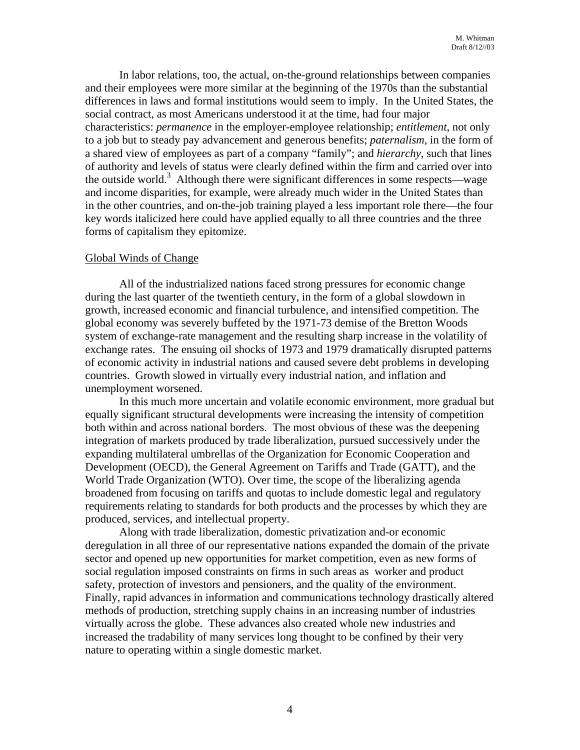In labor relations, too, the actual, on-the-ground relationships between companies and their employees were more similar at the beginning of the 1970s than the substantial differences in laws and formal institutions would seem to imply. In the United States, the social contract, as most Americans understood it at the time, had four major characteristics: *permanence* in the employer-employee relationship; *entitlement*, not only to a job but to steady pay advancement and generous benefits; *paternalism*, in the form of a shared view of employees as part of a company "family"; and *hierarchy*, such that lines of authority and levels of status were clearly defined within the firm and carried over into the outside world.<sup>[3](#page-19-2)</sup> Although there were significant differences in some respects—wage and income disparities, for example, were already much wider in the United States than in the other countries, and on-the-job training played a less important role there—the four key words italicized here could have applied equally to all three countries and the three forms of capitalism they epitomize.

## Global Winds of Change

All of the industrialized nations faced strong pressures for economic change during the last quarter of the twentieth century, in the form of a global slowdown in growth, increased economic and financial turbulence, and intensified competition. The global economy was severely buffeted by the 1971-73 demise of the Bretton Woods system of exchange-rate management and the resulting sharp increase in the volatility of exchange rates. The ensuing oil shocks of 1973 and 1979 dramatically disrupted patterns of economic activity in industrial nations and caused severe debt problems in developing countries. Growth slowed in virtually every industrial nation, and inflation and unemployment worsened.

In this much more uncertain and volatile economic environment, more gradual but equally significant structural developments were increasing the intensity of competition both within and across national borders. The most obvious of these was the deepening integration of markets produced by trade liberalization, pursued successively under the expanding multilateral umbrellas of the Organization for Economic Cooperation and Development (OECD), the General Agreement on Tariffs and Trade (GATT), and the World Trade Organization (WTO). Over time, the scope of the liberalizing agenda broadened from focusing on tariffs and quotas to include domestic legal and regulatory requirements relating to standards for both products and the processes by which they are produced, services, and intellectual property.

Along with trade liberalization, domestic privatization and-or economic deregulation in all three of our representative nations expanded the domain of the private sector and opened up new opportunities for market competition, even as new forms of social regulation imposed constraints on firms in such areas as worker and product safety, protection of investors and pensioners, and the quality of the environment. Finally, rapid advances in information and communications technology drastically altered methods of production, stretching supply chains in an increasing number of industries virtually across the globe. These advances also created whole new industries and increased the tradability of many services long thought to be confined by their very nature to operating within a single domestic market.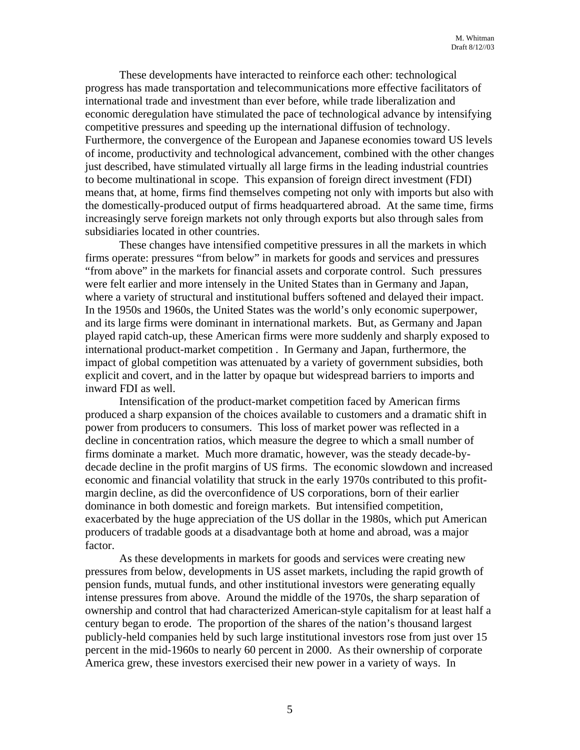These developments have interacted to reinforce each other: technological progress has made transportation and telecommunications more effective facilitators of international trade and investment than ever before, while trade liberalization and economic deregulation have stimulated the pace of technological advance by intensifying competitive pressures and speeding up the international diffusion of technology. Furthermore, the convergence of the European and Japanese economies toward US levels of income, productivity and technological advancement, combined with the other changes just described, have stimulated virtually all large firms in the leading industrial countries to become multinational in scope. This expansion of foreign direct investment (FDI) means that, at home, firms find themselves competing not only with imports but also with the domestically-produced output of firms headquartered abroad. At the same time, firms increasingly serve foreign markets not only through exports but also through sales from subsidiaries located in other countries.

These changes have intensified competitive pressures in all the markets in which firms operate: pressures "from below" in markets for goods and services and pressures "from above" in the markets for financial assets and corporate control. Such pressures were felt earlier and more intensely in the United States than in Germany and Japan, where a variety of structural and institutional buffers softened and delayed their impact. In the 1950s and 1960s, the United States was the world's only economic superpower, and its large firms were dominant in international markets. But, as Germany and Japan played rapid catch-up, these American firms were more suddenly and sharply exposed to international product-market competition . In Germany and Japan, furthermore, the impact of global competition was attenuated by a variety of government subsidies, both explicit and covert, and in the latter by opaque but widespread barriers to imports and inward FDI as well.

Intensification of the product-market competition faced by American firms produced a sharp expansion of the choices available to customers and a dramatic shift in power from producers to consumers. This loss of market power was reflected in a decline in concentration ratios, which measure the degree to which a small number of firms dominate a market. Much more dramatic, however, was the steady decade-bydecade decline in the profit margins of US firms. The economic slowdown and increased economic and financial volatility that struck in the early 1970s contributed to this profitmargin decline, as did the overconfidence of US corporations, born of their earlier dominance in both domestic and foreign markets. But intensified competition, exacerbated by the huge appreciation of the US dollar in the 1980s, which put American producers of tradable goods at a disadvantage both at home and abroad, was a major factor.

As these developments in markets for goods and services were creating new pressures from below, developments in US asset markets, including the rapid growth of pension funds, mutual funds, and other institutional investors were generating equally intense pressures from above. Around the middle of the 1970s, the sharp separation of ownership and control that had characterized American-style capitalism for at least half a century began to erode. The proportion of the shares of the nation's thousand largest publicly-held companies held by such large institutional investors rose from just over 15 percent in the mid-1960s to nearly 60 percent in 2000. As their ownership of corporate America grew, these investors exercised their new power in a variety of ways. In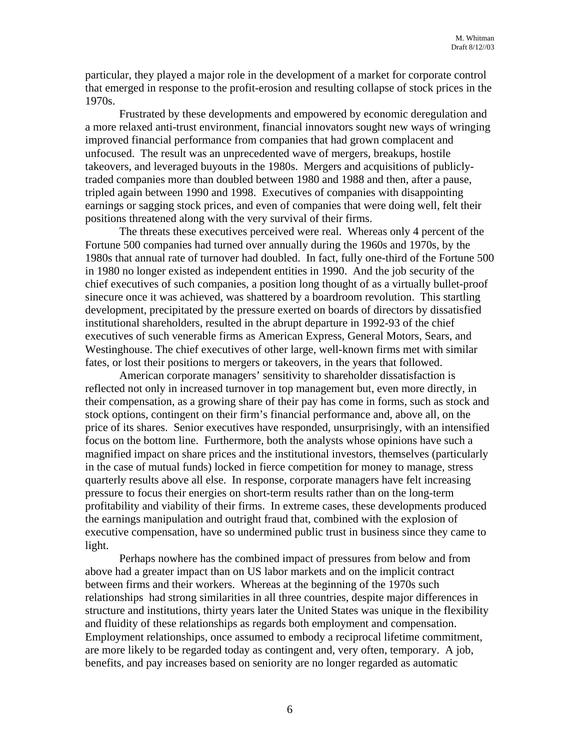particular, they played a major role in the development of a market for corporate control that emerged in response to the profit-erosion and resulting collapse of stock prices in the 1970s.

Frustrated by these developments and empowered by economic deregulation and a more relaxed anti-trust environment, financial innovators sought new ways of wringing improved financial performance from companies that had grown complacent and unfocused. The result was an unprecedented wave of mergers, breakups, hostile takeovers, and leveraged buyouts in the 1980s. Mergers and acquisitions of publiclytraded companies more than doubled between 1980 and 1988 and then, after a pause, tripled again between 1990 and 1998. Executives of companies with disappointing earnings or sagging stock prices, and even of companies that were doing well, felt their positions threatened along with the very survival of their firms.

The threats these executives perceived were real. Whereas only 4 percent of the Fortune 500 companies had turned over annually during the 1960s and 1970s, by the 1980s that annual rate of turnover had doubled. In fact, fully one-third of the Fortune 500 in 1980 no longer existed as independent entities in 1990. And the job security of the chief executives of such companies, a position long thought of as a virtually bullet-proof sinecure once it was achieved, was shattered by a boardroom revolution. This startling development, precipitated by the pressure exerted on boards of directors by dissatisfied institutional shareholders, resulted in the abrupt departure in 1992-93 of the chief executives of such venerable firms as American Express, General Motors, Sears, and Westinghouse. The chief executives of other large, well-known firms met with similar fates, or lost their positions to mergers or takeovers, in the years that followed.

American corporate managers' sensitivity to shareholder dissatisfaction is reflected not only in increased turnover in top management but, even more directly, in their compensation, as a growing share of their pay has come in forms, such as stock and stock options, contingent on their firm's financial performance and, above all, on the price of its shares. Senior executives have responded, unsurprisingly, with an intensified focus on the bottom line. Furthermore, both the analysts whose opinions have such a magnified impact on share prices and the institutional investors, themselves (particularly in the case of mutual funds) locked in fierce competition for money to manage, stress quarterly results above all else. In response, corporate managers have felt increasing pressure to focus their energies on short-term results rather than on the long-term profitability and viability of their firms. In extreme cases, these developments produced the earnings manipulation and outright fraud that, combined with the explosion of executive compensation, have so undermined public trust in business since they came to light.

Perhaps nowhere has the combined impact of pressures from below and from above had a greater impact than on US labor markets and on the implicit contract between firms and their workers. Whereas at the beginning of the 1970s such relationships had strong similarities in all three countries, despite major differences in structure and institutions, thirty years later the United States was unique in the flexibility and fluidity of these relationships as regards both employment and compensation. Employment relationships, once assumed to embody a reciprocal lifetime commitment, are more likely to be regarded today as contingent and, very often, temporary. A job, benefits, and pay increases based on seniority are no longer regarded as automatic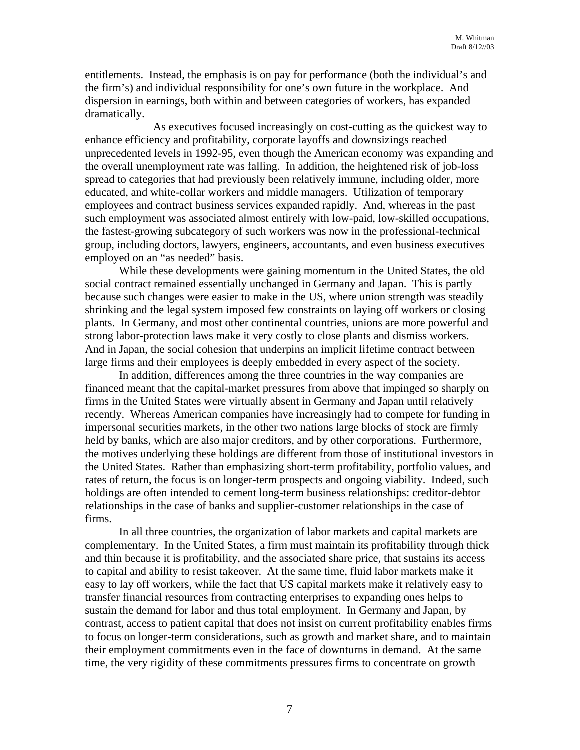entitlements. Instead, the emphasis is on pay for performance (both the individual's and the firm's) and individual responsibility for one's own future in the workplace. And dispersion in earnings, both within and between categories of workers, has expanded dramatically.

As executives focused increasingly on cost-cutting as the quickest way to enhance efficiency and profitability, corporate layoffs and downsizings reached unprecedented levels in 1992-95, even though the American economy was expanding and the overall unemployment rate was falling. In addition, the heightened risk of job-loss spread to categories that had previously been relatively immune, including older, more educated, and white-collar workers and middle managers. Utilization of temporary employees and contract business services expanded rapidly. And, whereas in the past such employment was associated almost entirely with low-paid, low-skilled occupations, the fastest-growing subcategory of such workers was now in the professional-technical group, including doctors, lawyers, engineers, accountants, and even business executives employed on an "as needed" basis.

While these developments were gaining momentum in the United States, the old social contract remained essentially unchanged in Germany and Japan. This is partly because such changes were easier to make in the US, where union strength was steadily shrinking and the legal system imposed few constraints on laying off workers or closing plants. In Germany, and most other continental countries, unions are more powerful and strong labor-protection laws make it very costly to close plants and dismiss workers. And in Japan, the social cohesion that underpins an implicit lifetime contract between large firms and their employees is deeply embedded in every aspect of the society.

In addition, differences among the three countries in the way companies are financed meant that the capital-market pressures from above that impinged so sharply on firms in the United States were virtually absent in Germany and Japan until relatively recently. Whereas American companies have increasingly had to compete for funding in impersonal securities markets, in the other two nations large blocks of stock are firmly held by banks, which are also major creditors, and by other corporations. Furthermore, the motives underlying these holdings are different from those of institutional investors in the United States. Rather than emphasizing short-term profitability, portfolio values, and rates of return, the focus is on longer-term prospects and ongoing viability. Indeed, such holdings are often intended to cement long-term business relationships: creditor-debtor relationships in the case of banks and supplier-customer relationships in the case of firms.

In all three countries, the organization of labor markets and capital markets are complementary. In the United States, a firm must maintain its profitability through thick and thin because it is profitability, and the associated share price, that sustains its access to capital and ability to resist takeover. At the same time, fluid labor markets make it easy to lay off workers, while the fact that US capital markets make it relatively easy to transfer financial resources from contracting enterprises to expanding ones helps to sustain the demand for labor and thus total employment. In Germany and Japan, by contrast, access to patient capital that does not insist on current profitability enables firms to focus on longer-term considerations, such as growth and market share, and to maintain their employment commitments even in the face of downturns in demand. At the same time, the very rigidity of these commitments pressures firms to concentrate on growth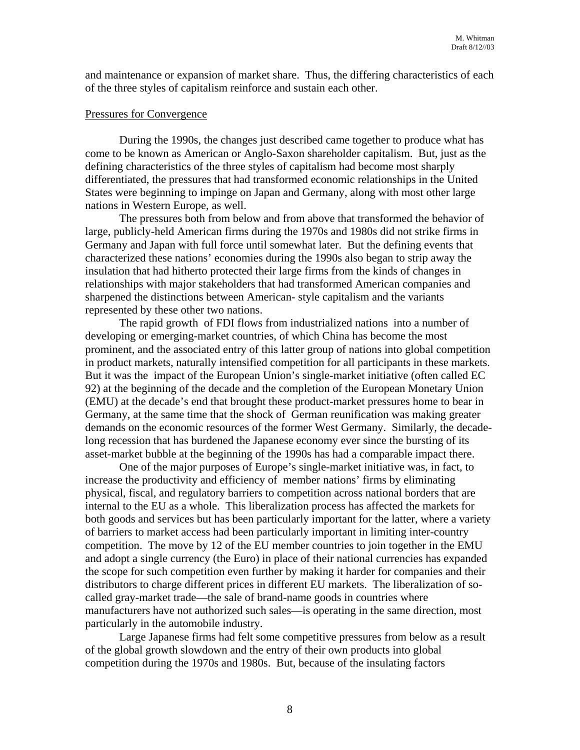and maintenance or expansion of market share. Thus, the differing characteristics of each of the three styles of capitalism reinforce and sustain each other.

### Pressures for Convergence

During the 1990s, the changes just described came together to produce what has come to be known as American or Anglo-Saxon shareholder capitalism. But, just as the defining characteristics of the three styles of capitalism had become most sharply differentiated, the pressures that had transformed economic relationships in the United States were beginning to impinge on Japan and Germany, along with most other large nations in Western Europe, as well.

The pressures both from below and from above that transformed the behavior of large, publicly-held American firms during the 1970s and 1980s did not strike firms in Germany and Japan with full force until somewhat later. But the defining events that characterized these nations' economies during the 1990s also began to strip away the insulation that had hitherto protected their large firms from the kinds of changes in relationships with major stakeholders that had transformed American companies and sharpened the distinctions between American- style capitalism and the variants represented by these other two nations.

The rapid growth of FDI flows from industrialized nations into a number of developing or emerging-market countries, of which China has become the most prominent, and the associated entry of this latter group of nations into global competition in product markets, naturally intensified competition for all participants in these markets. But it was the impact of the European Union's single-market initiative (often called EC 92) at the beginning of the decade and the completion of the European Monetary Union (EMU) at the decade's end that brought these product-market pressures home to bear in Germany, at the same time that the shock of German reunification was making greater demands on the economic resources of the former West Germany. Similarly, the decadelong recession that has burdened the Japanese economy ever since the bursting of its asset-market bubble at the beginning of the 1990s has had a comparable impact there.

One of the major purposes of Europe's single-market initiative was, in fact, to increase the productivity and efficiency of member nations' firms by eliminating physical, fiscal, and regulatory barriers to competition across national borders that are internal to the EU as a whole. This liberalization process has affected the markets for both goods and services but has been particularly important for the latter, where a variety of barriers to market access had been particularly important in limiting inter-country competition. The move by 12 of the EU member countries to join together in the EMU and adopt a single currency (the Euro) in place of their national currencies has expanded the scope for such competition even further by making it harder for companies and their distributors to charge different prices in different EU markets. The liberalization of socalled gray-market trade—the sale of brand-name goods in countries where manufacturers have not authorized such sales—is operating in the same direction, most particularly in the automobile industry.

Large Japanese firms had felt some competitive pressures from below as a result of the global growth slowdown and the entry of their own products into global competition during the 1970s and 1980s. But, because of the insulating factors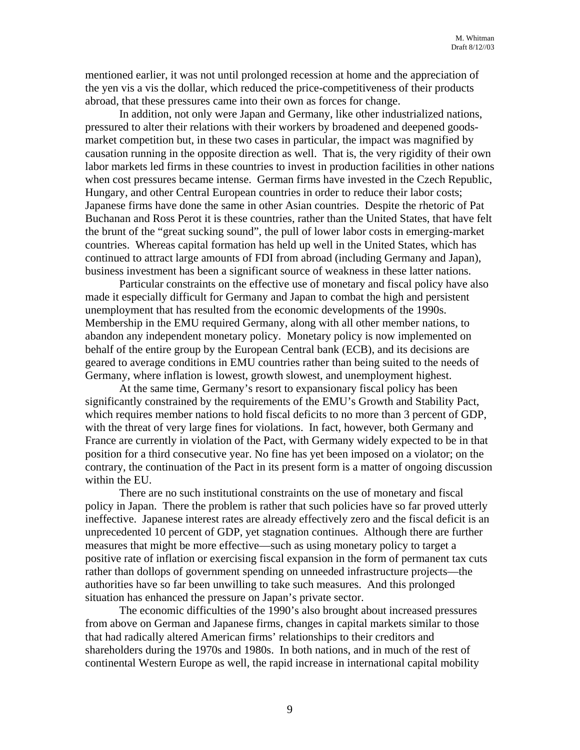mentioned earlier, it was not until prolonged recession at home and the appreciation of the yen vis a vis the dollar, which reduced the price-competitiveness of their products abroad, that these pressures came into their own as forces for change.

In addition, not only were Japan and Germany, like other industrialized nations, pressured to alter their relations with their workers by broadened and deepened goodsmarket competition but, in these two cases in particular, the impact was magnified by causation running in the opposite direction as well. That is, the very rigidity of their own labor markets led firms in these countries to invest in production facilities in other nations when cost pressures became intense. German firms have invested in the Czech Republic, Hungary, and other Central European countries in order to reduce their labor costs; Japanese firms have done the same in other Asian countries. Despite the rhetoric of Pat Buchanan and Ross Perot it is these countries, rather than the United States, that have felt the brunt of the "great sucking sound", the pull of lower labor costs in emerging-market countries. Whereas capital formation has held up well in the United States, which has continued to attract large amounts of FDI from abroad (including Germany and Japan), business investment has been a significant source of weakness in these latter nations.

Particular constraints on the effective use of monetary and fiscal policy have also made it especially difficult for Germany and Japan to combat the high and persistent unemployment that has resulted from the economic developments of the 1990s. Membership in the EMU required Germany, along with all other member nations, to abandon any independent monetary policy. Monetary policy is now implemented on behalf of the entire group by the European Central bank (ECB), and its decisions are geared to average conditions in EMU countries rather than being suited to the needs of Germany, where inflation is lowest, growth slowest, and unemployment highest.

At the same time, Germany's resort to expansionary fiscal policy has been significantly constrained by the requirements of the EMU's Growth and Stability Pact, which requires member nations to hold fiscal deficits to no more than 3 percent of GDP, with the threat of very large fines for violations. In fact, however, both Germany and France are currently in violation of the Pact, with Germany widely expected to be in that position for a third consecutive year. No fine has yet been imposed on a violator; on the contrary, the continuation of the Pact in its present form is a matter of ongoing discussion within the EU.

There are no such institutional constraints on the use of monetary and fiscal policy in Japan. There the problem is rather that such policies have so far proved utterly ineffective. Japanese interest rates are already effectively zero and the fiscal deficit is an unprecedented 10 percent of GDP, yet stagnation continues. Although there are further measures that might be more effective—such as using monetary policy to target a positive rate of inflation or exercising fiscal expansion in the form of permanent tax cuts rather than dollops of government spending on unneeded infrastructure projects—the authorities have so far been unwilling to take such measures. And this prolonged situation has enhanced the pressure on Japan's private sector.

The economic difficulties of the 1990's also brought about increased pressures from above on German and Japanese firms, changes in capital markets similar to those that had radically altered American firms' relationships to their creditors and shareholders during the 1970s and 1980s. In both nations, and in much of the rest of continental Western Europe as well, the rapid increase in international capital mobility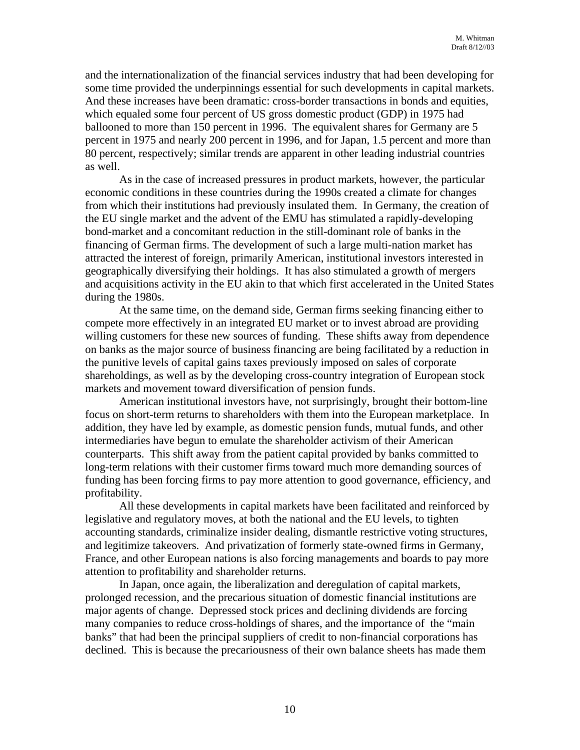and the internationalization of the financial services industry that had been developing for some time provided the underpinnings essential for such developments in capital markets. And these increases have been dramatic: cross-border transactions in bonds and equities, which equaled some four percent of US gross domestic product (GDP) in 1975 had ballooned to more than 150 percent in 1996. The equivalent shares for Germany are 5 percent in 1975 and nearly 200 percent in 1996, and for Japan, 1.5 percent and more than 80 percent, respectively; similar trends are apparent in other leading industrial countries as well.

As in the case of increased pressures in product markets, however, the particular economic conditions in these countries during the 1990s created a climate for changes from which their institutions had previously insulated them. In Germany, the creation of the EU single market and the advent of the EMU has stimulated a rapidly-developing bond-market and a concomitant reduction in the still-dominant role of banks in the financing of German firms. The development of such a large multi-nation market has attracted the interest of foreign, primarily American, institutional investors interested in geographically diversifying their holdings. It has also stimulated a growth of mergers and acquisitions activity in the EU akin to that which first accelerated in the United States during the 1980s.

At the same time, on the demand side, German firms seeking financing either to compete more effectively in an integrated EU market or to invest abroad are providing willing customers for these new sources of funding. These shifts away from dependence on banks as the major source of business financing are being facilitated by a reduction in the punitive levels of capital gains taxes previously imposed on sales of corporate shareholdings, as well as by the developing cross-country integration of European stock markets and movement toward diversification of pension funds.

American institutional investors have, not surprisingly, brought their bottom-line focus on short-term returns to shareholders with them into the European marketplace. In addition, they have led by example, as domestic pension funds, mutual funds, and other intermediaries have begun to emulate the shareholder activism of their American counterparts. This shift away from the patient capital provided by banks committed to long-term relations with their customer firms toward much more demanding sources of funding has been forcing firms to pay more attention to good governance, efficiency, and profitability.

All these developments in capital markets have been facilitated and reinforced by legislative and regulatory moves, at both the national and the EU levels, to tighten accounting standards, criminalize insider dealing, dismantle restrictive voting structures, and legitimize takeovers. And privatization of formerly state-owned firms in Germany, France, and other European nations is also forcing managements and boards to pay more attention to profitability and shareholder returns.

In Japan, once again, the liberalization and deregulation of capital markets, prolonged recession, and the precarious situation of domestic financial institutions are major agents of change. Depressed stock prices and declining dividends are forcing many companies to reduce cross-holdings of shares, and the importance of the "main banks" that had been the principal suppliers of credit to non-financial corporations has declined. This is because the precariousness of their own balance sheets has made them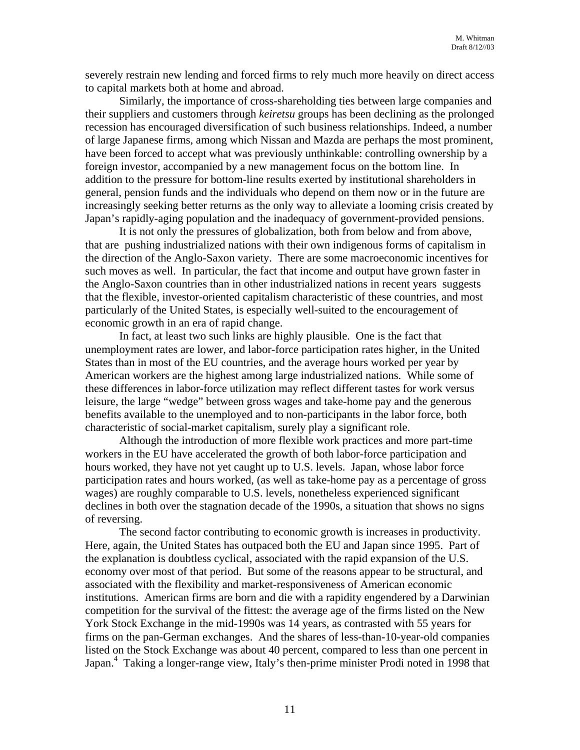severely restrain new lending and forced firms to rely much more heavily on direct access to capital markets both at home and abroad.

Similarly, the importance of cross-shareholding ties between large companies and their suppliers and customers through *keiretsu* groups has been declining as the prolonged recession has encouraged diversification of such business relationships. Indeed, a number of large Japanese firms, among which Nissan and Mazda are perhaps the most prominent, have been forced to accept what was previously unthinkable: controlling ownership by a foreign investor, accompanied by a new management focus on the bottom line. In addition to the pressure for bottom-line results exerted by institutional shareholders in general, pension funds and the individuals who depend on them now or in the future are increasingly seeking better returns as the only way to alleviate a looming crisis created by Japan's rapidly-aging population and the inadequacy of government-provided pensions.

It is not only the pressures of globalization, both from below and from above, that are pushing industrialized nations with their own indigenous forms of capitalism in the direction of the Anglo-Saxon variety. There are some macroeconomic incentives for such moves as well. In particular, the fact that income and output have grown faster in the Anglo-Saxon countries than in other industrialized nations in recent years suggests that the flexible, investor-oriented capitalism characteristic of these countries, and most particularly of the United States, is especially well-suited to the encouragement of economic growth in an era of rapid change.

In fact, at least two such links are highly plausible. One is the fact that unemployment rates are lower, and labor-force participation rates higher, in the United States than in most of the EU countries, and the average hours worked per year by American workers are the highest among large industrialized nations. While some of these differences in labor-force utilization may reflect different tastes for work versus leisure, the large "wedge" between gross wages and take-home pay and the generous benefits available to the unemployed and to non-participants in the labor force, both characteristic of social-market capitalism, surely play a significant role.

Although the introduction of more flexible work practices and more part-time workers in the EU have accelerated the growth of both labor-force participation and hours worked, they have not yet caught up to U.S. levels. Japan, whose labor force participation rates and hours worked, (as well as take-home pay as a percentage of gross wages) are roughly comparable to U.S. levels, nonetheless experienced significant declines in both over the stagnation decade of the 1990s, a situation that shows no signs of reversing.

The second factor contributing to economic growth is increases in productivity. Here, again, the United States has outpaced both the EU and Japan since 1995. Part of the explanation is doubtless cyclical, associated with the rapid expansion of the U.S. economy over most of that period. But some of the reasons appear to be structural, and associated with the flexibility and market-responsiveness of American economic institutions. American firms are born and die with a rapidity engendered by a Darwinian competition for the survival of the fittest: the average age of the firms listed on the New York Stock Exchange in the mid-1990s was 14 years, as contrasted with 55 years for firms on the pan-German exchanges. And the shares of less-than-10-year-old companies listed on the Stock Exchange was about 40 percent, compared to less than one percent in Japan.<sup>4</sup> Taking a longer-range view, Italy's then-prime minister Prodi noted in 1998 that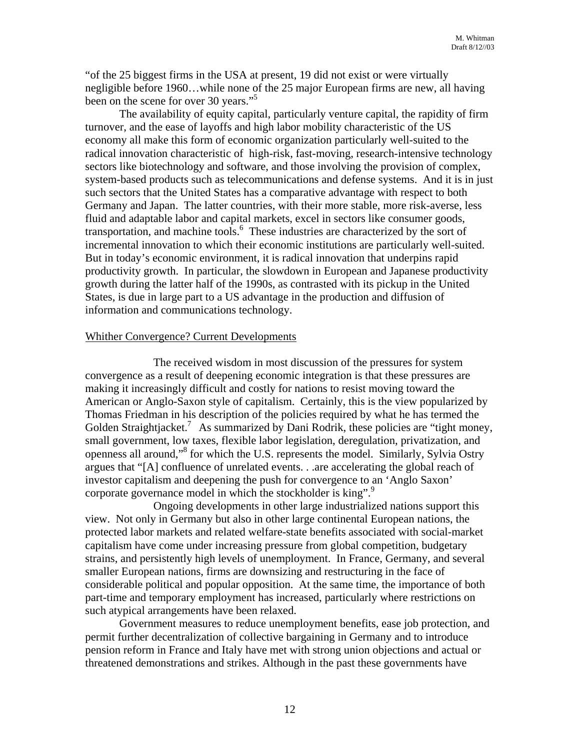"of the 25 biggest firms in the USA at present, 19 did not exist or were virtually negligible before 1960…while none of the 25 major European firms are new, all having been on the scene for over 30 years."<sup>[5](#page-19-4)</sup>

The availability of equity capital, particularly venture capital, the rapidity of firm turnover, and the ease of layoffs and high labor mobility characteristic of the US economy all make this form of economic organization particularly well-suited to the radical innovation characteristic of high-risk, fast-moving, research-intensive technology sectors like biotechnology and software, and those involving the provision of complex, system-based products such as telecommunications and defense systems. And it is in just such sectors that the United States has a comparative advantage with respect to both Germany and Japan. The latter countries, with their more stable, more risk-averse, less fluid and adaptable labor and capital markets, excel in sectors like consumer goods, transportation, and machine tools.<sup>6</sup> These industries are characterized by the sort of incremental innovation to which their economic institutions are particularly well-suited. But in today's economic environment, it is radical innovation that underpins rapid productivity growth. In particular, the slowdown in European and Japanese productivity growth during the latter half of the 1990s, as contrasted with its pickup in the United States, is due in large part to a US advantage in the production and diffusion of information and communications technology.

### Whither Convergence? Current Developments

The received wisdom in most discussion of the pressures for system convergence as a result of deepening economic integration is that these pressures are making it increasingly difficult and costly for nations to resist moving toward the American or Anglo-Saxon style of capitalism. Certainly, this is the view popularized by Thomas Friedman in his description of the policies required by what he has termed the Golden Straightjacket.<sup>7</sup> As summarized by Dani Rodrik, these policies are "tight money, small government, low taxes, flexible labor legislation, deregulation, privatization, and openness all around,"[8](#page-19-7) for which the U.S. represents the model. Similarly, Sylvia Ostry argues that "[A] confluence of unrelated events. . .are accelerating the global reach of investor capitalism and deepening the push for convergence to an 'Anglo Saxon' corporate governance model in which the stockholder is king".<sup>[9](#page-19-8)</sup>

Ongoing developments in other large industrialized nations support this view. Not only in Germany but also in other large continental European nations, the protected labor markets and related welfare-state benefits associated with social-market capitalism have come under increasing pressure from global competition, budgetary strains, and persistently high levels of unemployment. In France, Germany, and several smaller European nations, firms are downsizing and restructuring in the face of considerable political and popular opposition. At the same time, the importance of both part-time and temporary employment has increased, particularly where restrictions on such atypical arrangements have been relaxed.

Government measures to reduce unemployment benefits, ease job protection, and permit further decentralization of collective bargaining in Germany and to introduce pension reform in France and Italy have met with strong union objections and actual or threatened demonstrations and strikes. Although in the past these governments have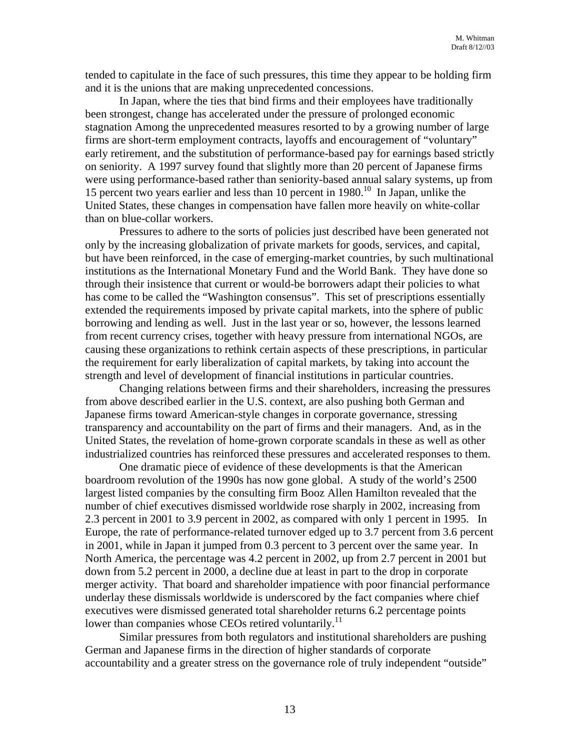tended to capitulate in the face of such pressures, this time they appear to be holding firm and it is the unions that are making unprecedented concessions.

In Japan, where the ties that bind firms and their employees have traditionally been strongest, change has accelerated under the pressure of prolonged economic stagnation Among the unprecedented measures resorted to by a growing number of large firms are short-term employment contracts, layoffs and encouragement of "voluntary" early retirement, and the substitution of performance-based pay for earnings based strictly on seniority. A 1997 survey found that slightly more than 20 percent of Japanese firms were using performance-based rather than seniority-based annual salary systems, up from 15 percent two years earlier and less than 10 percent in 1980.[10](#page-19-9) In Japan, unlike the United States, these changes in compensation have fallen more heavily on white-collar than on blue-collar workers.

Pressures to adhere to the sorts of policies just described have been generated not only by the increasing globalization of private markets for goods, services, and capital, but have been reinforced, in the case of emerging-market countries, by such multinational institutions as the International Monetary Fund and the World Bank. They have done so through their insistence that current or would-be borrowers adapt their policies to what has come to be called the "Washington consensus". This set of prescriptions essentially extended the requirements imposed by private capital markets, into the sphere of public borrowing and lending as well. Just in the last year or so, however, the lessons learned from recent currency crises, together with heavy pressure from international NGOs, are causing these organizations to rethink certain aspects of these prescriptions, in particular the requirement for early liberalization of capital markets, by taking into account the strength and level of development of financial institutions in particular countries.

Changing relations between firms and their shareholders, increasing the pressures from above described earlier in the U.S. context, are also pushing both German and Japanese firms toward American-style changes in corporate governance, stressing transparency and accountability on the part of firms and their managers. And, as in the United States, the revelation of home-grown corporate scandals in these as well as other industrialized countries has reinforced these pressures and accelerated responses to them.

One dramatic piece of evidence of these developments is that the American boardroom revolution of the 1990s has now gone global. A study of the world's 2500 largest listed companies by the consulting firm Booz Allen Hamilton revealed that the number of chief executives dismissed worldwide rose sharply in 2002, increasing from 2.3 percent in 2001 to 3.9 percent in 2002, as compared with only 1 percent in 1995. In Europe, the rate of performance-related turnover edged up to 3.7 percent from 3.6 percent in 2001, while in Japan it jumped from 0.3 percent to 3 percent over the same year. In North America, the percentage was 4.2 percent in 2002, up from 2.7 percent in 2001 but down from 5.2 percent in 2000, a decline due at least in part to the drop in corporate merger activity. That board and shareholder impatience with poor financial performance underlay these dismissals worldwide is underscored by the fact companies where chief executives were dismissed generated total shareholder returns 6.2 percentage points lower than companies whose CEOs retired voluntarily.<sup>11</sup>

Similar pressures from both regulators and institutional shareholders are pushing German and Japanese firms in the direction of higher standards of corporate accountability and a greater stress on the governance role of truly independent "outside"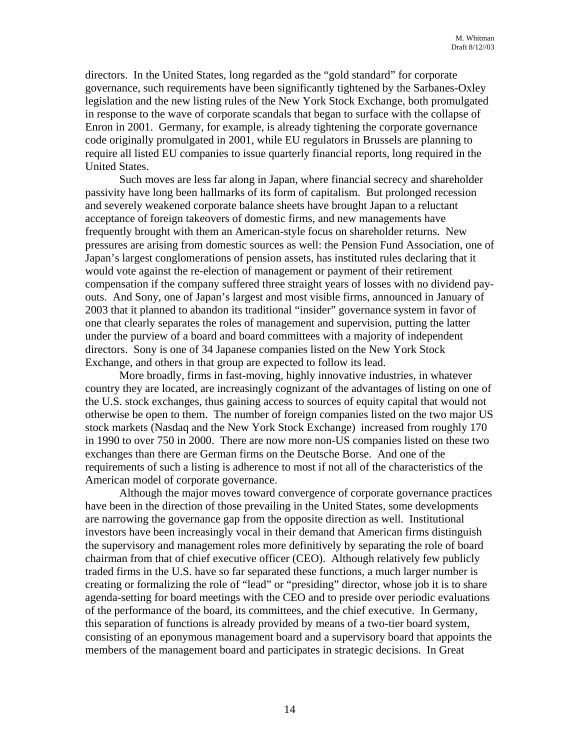directors. In the United States, long regarded as the "gold standard" for corporate governance, such requirements have been significantly tightened by the Sarbanes-Oxley legislation and the new listing rules of the New York Stock Exchange, both promulgated in response to the wave of corporate scandals that began to surface with the collapse of Enron in 2001. Germany, for example, is already tightening the corporate governance code originally promulgated in 2001, while EU regulators in Brussels are planning to require all listed EU companies to issue quarterly financial reports, long required in the United States.

Such moves are less far along in Japan, where financial secrecy and shareholder passivity have long been hallmarks of its form of capitalism. But prolonged recession and severely weakened corporate balance sheets have brought Japan to a reluctant acceptance of foreign takeovers of domestic firms, and new managements have frequently brought with them an American-style focus on shareholder returns. New pressures are arising from domestic sources as well: the Pension Fund Association, one of Japan's largest conglomerations of pension assets, has instituted rules declaring that it would vote against the re-election of management or payment of their retirement compensation if the company suffered three straight years of losses with no dividend payouts. And Sony, one of Japan's largest and most visible firms, announced in January of 2003 that it planned to abandon its traditional "insider" governance system in favor of one that clearly separates the roles of management and supervision, putting the latter under the purview of a board and board committees with a majority of independent directors. Sony is one of 34 Japanese companies listed on the New York Stock Exchange, and others in that group are expected to follow its lead.

More broadly, firms in fast-moving, highly innovative industries, in whatever country they are located, are increasingly cognizant of the advantages of listing on one of the U.S. stock exchanges, thus gaining access to sources of equity capital that would not otherwise be open to them. The number of foreign companies listed on the two major US stock markets (Nasdaq and the New York Stock Exchange) increased from roughly 170 in 1990 to over 750 in 2000. There are now more non-US companies listed on these two exchanges than there are German firms on the Deutsche Borse. And one of the requirements of such a listing is adherence to most if not all of the characteristics of the American model of corporate governance.

Although the major moves toward convergence of corporate governance practices have been in the direction of those prevailing in the United States, some developments are narrowing the governance gap from the opposite direction as well. Institutional investors have been increasingly vocal in their demand that American firms distinguish the supervisory and management roles more definitively by separating the role of board chairman from that of chief executive officer (CEO). Although relatively few publicly traded firms in the U.S. have so far separated these functions, a much larger number is creating or formalizing the role of "lead" or "presiding" director, whose job it is to share agenda-setting for board meetings with the CEO and to preside over periodic evaluations of the performance of the board, its committees, and the chief executive. In Germany, this separation of functions is already provided by means of a two-tier board system, consisting of an eponymous management board and a supervisory board that appoints the members of the management board and participates in strategic decisions. In Great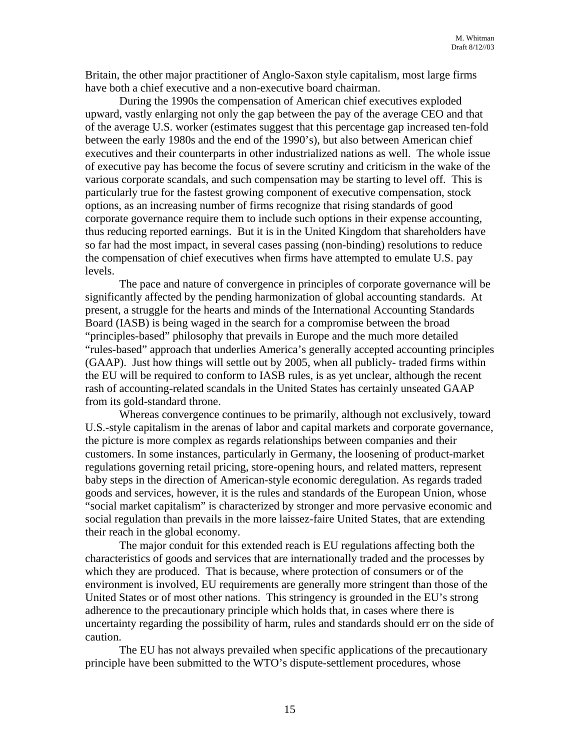Britain, the other major practitioner of Anglo-Saxon style capitalism, most large firms have both a chief executive and a non-executive board chairman.

During the 1990s the compensation of American chief executives exploded upward, vastly enlarging not only the gap between the pay of the average CEO and that of the average U.S. worker (estimates suggest that this percentage gap increased ten-fold between the early 1980s and the end of the 1990's), but also between American chief executives and their counterparts in other industrialized nations as well. The whole issue of executive pay has become the focus of severe scrutiny and criticism in the wake of the various corporate scandals, and such compensation may be starting to level off. This is particularly true for the fastest growing component of executive compensation, stock options, as an increasing number of firms recognize that rising standards of good corporate governance require them to include such options in their expense accounting, thus reducing reported earnings. But it is in the United Kingdom that shareholders have so far had the most impact, in several cases passing (non-binding) resolutions to reduce the compensation of chief executives when firms have attempted to emulate U.S. pay levels.

The pace and nature of convergence in principles of corporate governance will be significantly affected by the pending harmonization of global accounting standards. At present, a struggle for the hearts and minds of the International Accounting Standards Board (IASB) is being waged in the search for a compromise between the broad "principles-based" philosophy that prevails in Europe and the much more detailed "rules-based" approach that underlies America's generally accepted accounting principles (GAAP). Just how things will settle out by 2005, when all publicly- traded firms within the EU will be required to conform to IASB rules, is as yet unclear, although the recent rash of accounting-related scandals in the United States has certainly unseated GAAP from its gold-standard throne.

Whereas convergence continues to be primarily, although not exclusively, toward U.S.-style capitalism in the arenas of labor and capital markets and corporate governance, the picture is more complex as regards relationships between companies and their customers. In some instances, particularly in Germany, the loosening of product-market regulations governing retail pricing, store-opening hours, and related matters, represent baby steps in the direction of American-style economic deregulation. As regards traded goods and services, however, it is the rules and standards of the European Union, whose "social market capitalism" is characterized by stronger and more pervasive economic and social regulation than prevails in the more laissez-faire United States, that are extending their reach in the global economy.

The major conduit for this extended reach is EU regulations affecting both the characteristics of goods and services that are internationally traded and the processes by which they are produced. That is because, where protection of consumers or of the environment is involved, EU requirements are generally more stringent than those of the United States or of most other nations. This stringency is grounded in the EU's strong adherence to the precautionary principle which holds that, in cases where there is uncertainty regarding the possibility of harm, rules and standards should err on the side of caution.

The EU has not always prevailed when specific applications of the precautionary principle have been submitted to the WTO's dispute-settlement procedures, whose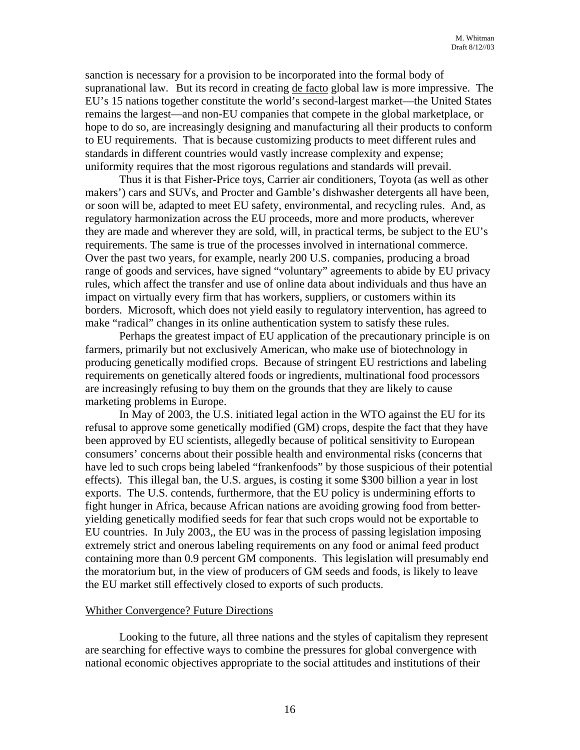sanction is necessary for a provision to be incorporated into the formal body of supranational law. But its record in creating de facto global law is more impressive. The EU's 15 nations together constitute the world's second-largest market—the United States remains the largest—and non-EU companies that compete in the global marketplace, or hope to do so, are increasingly designing and manufacturing all their products to conform to EU requirements. That is because customizing products to meet different rules and standards in different countries would vastly increase complexity and expense; uniformity requires that the most rigorous regulations and standards will prevail.

Thus it is that Fisher-Price toys, Carrier air conditioners, Toyota (as well as other makers') cars and SUVs, and Procter and Gamble's dishwasher detergents all have been, or soon will be, adapted to meet EU safety, environmental, and recycling rules. And, as regulatory harmonization across the EU proceeds, more and more products, wherever they are made and wherever they are sold, will, in practical terms, be subject to the EU's requirements. The same is true of the processes involved in international commerce. Over the past two years, for example, nearly 200 U.S. companies, producing a broad range of goods and services, have signed "voluntary" agreements to abide by EU privacy rules, which affect the transfer and use of online data about individuals and thus have an impact on virtually every firm that has workers, suppliers, or customers within its borders. Microsoft, which does not yield easily to regulatory intervention, has agreed to make "radical" changes in its online authentication system to satisfy these rules.

Perhaps the greatest impact of EU application of the precautionary principle is on farmers, primarily but not exclusively American, who make use of biotechnology in producing genetically modified crops. Because of stringent EU restrictions and labeling requirements on genetically altered foods or ingredients, multinational food processors are increasingly refusing to buy them on the grounds that they are likely to cause marketing problems in Europe.

In May of 2003, the U.S. initiated legal action in the WTO against the EU for its refusal to approve some genetically modified (GM) crops, despite the fact that they have been approved by EU scientists, allegedly because of political sensitivity to European consumers' concerns about their possible health and environmental risks (concerns that have led to such crops being labeled "frankenfoods" by those suspicious of their potential effects). This illegal ban, the U.S. argues, is costing it some \$300 billion a year in lost exports. The U.S. contends, furthermore, that the EU policy is undermining efforts to fight hunger in Africa, because African nations are avoiding growing food from betteryielding genetically modified seeds for fear that such crops would not be exportable to EU countries. In July 2003,, the EU was in the process of passing legislation imposing extremely strict and onerous labeling requirements on any food or animal feed product containing more than 0.9 percent GM components. This legislation will presumably end the moratorium but, in the view of producers of GM seeds and foods, is likely to leave the EU market still effectively closed to exports of such products.

#### Whither Convergence? Future Directions

Looking to the future, all three nations and the styles of capitalism they represent are searching for effective ways to combine the pressures for global convergence with national economic objectives appropriate to the social attitudes and institutions of their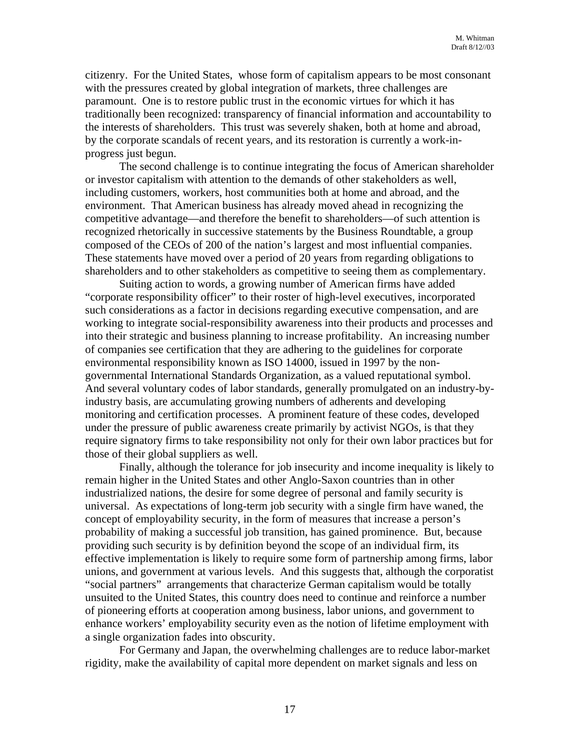citizenry. For the United States, whose form of capitalism appears to be most consonant with the pressures created by global integration of markets, three challenges are paramount. One is to restore public trust in the economic virtues for which it has traditionally been recognized: transparency of financial information and accountability to the interests of shareholders. This trust was severely shaken, both at home and abroad, by the corporate scandals of recent years, and its restoration is currently a work-inprogress just begun.

The second challenge is to continue integrating the focus of American shareholder or investor capitalism with attention to the demands of other stakeholders as well, including customers, workers, host communities both at home and abroad, and the environment. That American business has already moved ahead in recognizing the competitive advantage—and therefore the benefit to shareholders—of such attention is recognized rhetorically in successive statements by the Business Roundtable, a group composed of the CEOs of 200 of the nation's largest and most influential companies. These statements have moved over a period of 20 years from regarding obligations to shareholders and to other stakeholders as competitive to seeing them as complementary.

Suiting action to words, a growing number of American firms have added "corporate responsibility officer" to their roster of high-level executives, incorporated such considerations as a factor in decisions regarding executive compensation, and are working to integrate social-responsibility awareness into their products and processes and into their strategic and business planning to increase profitability. An increasing number of companies see certification that they are adhering to the guidelines for corporate environmental responsibility known as ISO 14000, issued in 1997 by the nongovernmental International Standards Organization, as a valued reputational symbol. And several voluntary codes of labor standards, generally promulgated on an industry-byindustry basis, are accumulating growing numbers of adherents and developing monitoring and certification processes. A prominent feature of these codes, developed under the pressure of public awareness create primarily by activist NGOs, is that they require signatory firms to take responsibility not only for their own labor practices but for those of their global suppliers as well.

Finally, although the tolerance for job insecurity and income inequality is likely to remain higher in the United States and other Anglo-Saxon countries than in other industrialized nations, the desire for some degree of personal and family security is universal. As expectations of long-term job security with a single firm have waned, the concept of employability security, in the form of measures that increase a person's probability of making a successful job transition, has gained prominence. But, because providing such security is by definition beyond the scope of an individual firm, its effective implementation is likely to require some form of partnership among firms, labor unions, and government at various levels. And this suggests that, although the corporatist "social partners" arrangements that characterize German capitalism would be totally unsuited to the United States, this country does need to continue and reinforce a number of pioneering efforts at cooperation among business, labor unions, and government to enhance workers' employability security even as the notion of lifetime employment with a single organization fades into obscurity.

For Germany and Japan, the overwhelming challenges are to reduce labor-market rigidity, make the availability of capital more dependent on market signals and less on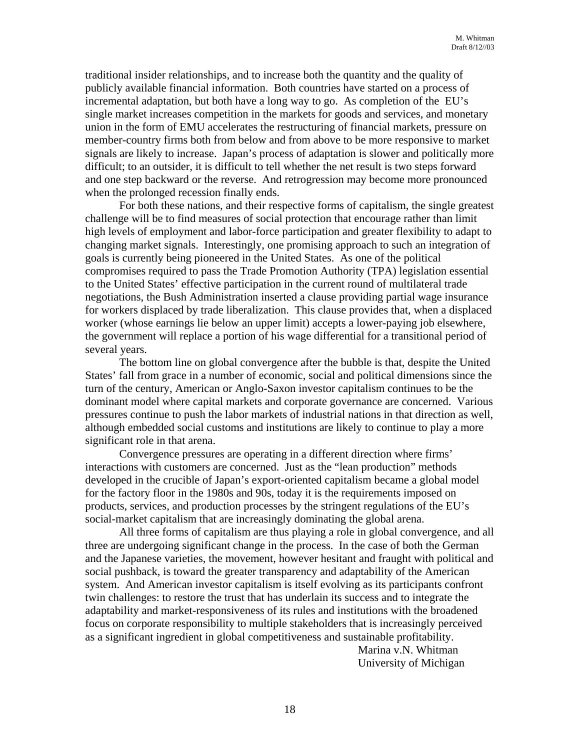traditional insider relationships, and to increase both the quantity and the quality of publicly available financial information. Both countries have started on a process of incremental adaptation, but both have a long way to go. As completion of the EU's single market increases competition in the markets for goods and services, and monetary union in the form of EMU accelerates the restructuring of financial markets, pressure on member-country firms both from below and from above to be more responsive to market signals are likely to increase. Japan's process of adaptation is slower and politically more difficult; to an outsider, it is difficult to tell whether the net result is two steps forward and one step backward or the reverse. And retrogression may become more pronounced when the prolonged recession finally ends.

For both these nations, and their respective forms of capitalism, the single greatest challenge will be to find measures of social protection that encourage rather than limit high levels of employment and labor-force participation and greater flexibility to adapt to changing market signals. Interestingly, one promising approach to such an integration of goals is currently being pioneered in the United States. As one of the political compromises required to pass the Trade Promotion Authority (TPA) legislation essential to the United States' effective participation in the current round of multilateral trade negotiations, the Bush Administration inserted a clause providing partial wage insurance for workers displaced by trade liberalization. This clause provides that, when a displaced worker (whose earnings lie below an upper limit) accepts a lower-paying job elsewhere, the government will replace a portion of his wage differential for a transitional period of several years.

The bottom line on global convergence after the bubble is that, despite the United States' fall from grace in a number of economic, social and political dimensions since the turn of the century, American or Anglo-Saxon investor capitalism continues to be the dominant model where capital markets and corporate governance are concerned. Various pressures continue to push the labor markets of industrial nations in that direction as well, although embedded social customs and institutions are likely to continue to play a more significant role in that arena.

Convergence pressures are operating in a different direction where firms' interactions with customers are concerned. Just as the "lean production" methods developed in the crucible of Japan's export-oriented capitalism became a global model for the factory floor in the 1980s and 90s, today it is the requirements imposed on products, services, and production processes by the stringent regulations of the EU's social-market capitalism that are increasingly dominating the global arena.

All three forms of capitalism are thus playing a role in global convergence, and all three are undergoing significant change in the process. In the case of both the German and the Japanese varieties, the movement, however hesitant and fraught with political and social pushback, is toward the greater transparency and adaptability of the American system. And American investor capitalism is itself evolving as its participants confront twin challenges: to restore the trust that has underlain its success and to integrate the adaptability and market-responsiveness of its rules and institutions with the broadened focus on corporate responsibility to multiple stakeholders that is increasingly perceived as a significant ingredient in global competitiveness and sustainable profitability.

 Marina v.N. Whitman University of Michigan